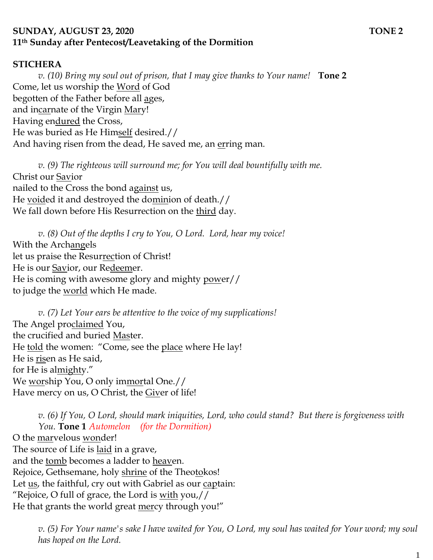### **SUNDAY, AUGUST 23, 2020 TONE 2 11th Sunday after Pentecost/Leavetaking of the Dormition**

#### **STICHERA**

*v. (10) Bring my soul out of prison, that I may give thanks to Your name!* **Tone 2** Come, let us worship the Word of God begotten of the Father before all ages, and incarnate of the Virgin Mary! Having endured the Cross, He was buried as He Himself desired.// And having risen from the dead, He saved me, an erring man.

*v. (9) The righteous will surround me; for You will deal bountifully with me.*  Christ our Savior nailed to the Cross the bond against us, He voided it and destroyed the dominion of death.// We fall down before His Resurrection on the third day.

*v. (8) Out of the depths I cry to You, O Lord. Lord, hear my voice!*  With the Archangels let us praise the Resurrection of Christ! He is our Savior, our Redeemer. He is coming with awesome glory and mighty power// to judge the <u>world</u> which He made.

*v. (7) Let Your ears be attentive to the voice of my supplications!* The Angel proclaimed You, the crucified and buried Master. He told the women: "Come, see the place where He lay! He is risen as He said, for He is almighty." We worship You, O only immortal One.// Have mercy on us, O Christ, the Giver of life!

*v. (6) If You, O Lord, should mark iniquities, Lord, who could stand? But there is forgiveness with You.* **Tone 1** *Automelon (for the Dormition)* O the marvelous wonder! The source of Life is laid in a grave, and the tomb becomes a ladder to heaven. Rejoice, Gethsemane, holy shrine of the Theotokos! Let <u>us</u>, the faithful, cry out with Gabriel as our captain: "Rejoice, O full of grace, the Lord is  $with$  you,  $//$ He that grants the world great <u>mer</u>cy through you!"

*v. (5) For Your name's sake I have waited for You, O Lord, my soul has waited for Your word; my soul has hoped on the Lord.*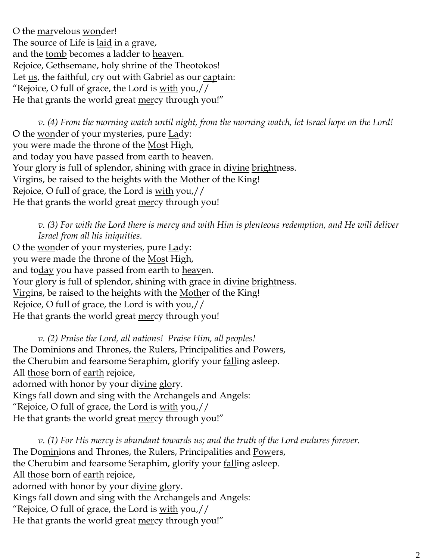O the marvelous wonder! The source of Life is laid in a grave, and the tomb becomes a ladder to heaven. Rejoice, Gethsemane, holy shrine of the Theotokos! Let <u>us</u>, the faithful, cry out with Gabriel as our captain: "Rejoice, O full of grace, the Lord is  $with$  you,  $//$ He that grants the world great mercy through you!"

*v. (4) From the morning watch until night, from the morning watch, let Israel hope on the Lord!*  O the wonder of your mysteries, pure Lady: you were made the throne of the Most High, and today you have passed from earth to heaven. Your glory is full of splendor, shining with grace in divine brightness. Virgins, be raised to the heights with the Mother of the King! Rejoice, O full of grace, the Lord is with you,// He that grants the world great mercy through you!

*v. (3) For with the Lord there is mercy and with Him is plenteous redemption, and He will deliver Israel from all his iniquities.*

O the wonder of your mysteries, pure Lady: you were made the throne of the Most High, and today you have passed from earth to heaven. Your glory is full of splendor, shining with grace in divine brightness. Virgins, be raised to the heights with the Mother of the King! Rejoice, O full of grace, the Lord is with you,// He that grants the world great mercy through you!

*v. (2) Praise the Lord, all nations! Praise Him, all peoples!* The Dominions and Thrones, the Rulers, Principalities and Powers, the Cherubim and fearsome Seraphim, glorify your falling asleep. All those born of earth rejoice, adorned with honor by your divine glory. Kings fall <u>down</u> and sing with the Archangels and Angels: "Rejoice, O full of grace, the Lord is with you,// He that grants the world great <u>mer</u>cy through you!"

*v. (1) For His mercy is abundant towards us; and the truth of the Lord endures forever.*  The Dominions and Thrones, the Rulers, Principalities and Powers, the Cherubim and fearsome Seraphim, glorify your falling asleep. All those born of earth rejoice, adorned with honor by your divine glory. Kings fall **down** and sing with the Archangels and **Angels**: "Rejoice, O full of grace, the Lord is with you,// He that grants the world great mercy through you!"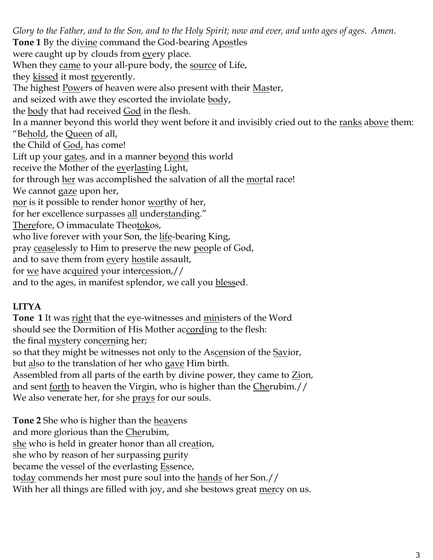*Glory to the Father, and to the Son, and to the Holy Spirit; now and ever, and unto ages of ages. Amen.*  **Tone 1** By the divine command the God-bearing Apostles were caught up by clouds from every place. When they came to your all-pure body, the <u>source</u> of Life, they kissed it most reverently. The highest Powers of heaven were also present with their Master, and seized with awe they escorted the inviolate body, the <u>body</u> that had received <u>God</u> in the flesh. In a manner beyond this world they went before it and invisibly cried out to the ranks above them: "Be<u>hold</u>, the <u>Queen</u> of all, the Child of God, has come! Lift up your gates, and in a manner beyond this world receive the Mother of the everlasting Light, for through her was accomplished the salvation of all the mortal race! We cannot gaze upon her, nor is it possible to render honor worthy of her, for her excellence surpasses all understanding." Therefore, O immaculate Theotokos, who live forever with your Son, the life-bearing King, pray ceaselessly to Him to preserve the new people of God, and to save them from every hostile assault, for we have acquired your intercession,//

and to the ages, in manifest splendor, we call you blessed.

# **LITYA**

**Tone 1** It was right that the eye-witnesses and ministers of the Word should see the Dormition of His Mother according to the flesh: the final **mystery** concerning her;

so that they might be witnesses not only to the Ascension of the Savior,

but <u>al</u>so to the translation of her who g<u>ave</u> Him birth.

Assembled from all parts of the earth by divine power, they came to  $Z$ ion, and sent <u>forth</u> to heaven the Virgin, who is higher than the *Cherubim.//* We also venerate her, for she prays for our souls.

**Tone 2** She who is higher than the <u>heav</u>ens and more glorious than the *Cherubim*, she who is held in greater honor than all creation, she who by reason of her surpassing <u>pu</u>rity became the vessel of the everlasting Essence, to<u>day</u> commends her most pure soul into the <u>hands</u> of her Son.// With her all things are filled with joy, and she bestows great mercy on us.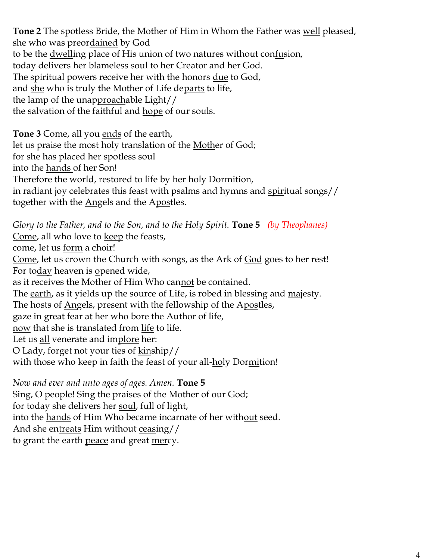**Tone 2** The spotless Bride, the Mother of Him in Whom the Father was well pleased, she who was preordained by God to be the dwelling place of His union of two natures without confusion, today delivers her blameless soul to her Creator and her God. The spiritual powers receive her with the honors due to God, and <u>she</u> who is truly the Mother of Life departs to life, the lamp of the unapproachable Light// the salvation of the faithful and hope of our souls.

**Tone 3** Come, all you ends of the earth, let us praise the most holy translation of the Mother of God; for she has placed her spotless soul into the hands of her Son! Therefore the world, restored to life by her holy Dormition, in radiant joy celebrates this feast with psalms and hymns and spiritual songs// together with the Angels and the Apostles.

*Glory to the Father, and to the Son, and to the Holy Spirit.* **Tone 5** *(by Theophanes)* Come, all who love to <u>keep</u> the feasts, come, let us <u>form</u> a choir! Come, let us crown the Church with songs, as the Ark of God goes to her rest! For today heaven is opened wide, as it receives the Mother of Him Who can<u>not</u> be contained. The earth, as it yields up the source of Life, is robed in blessing and majesty. The hosts of <u>Ang</u>els, present with the fellowship of the Apostles, gaze in great fear at her who bore the **Author** of life, now that she is translated from life to life. Let us all venerate and implore her: O Lady, forget not your ties of kinship// with those who keep in faith the feast of your all-holy Dormition!

*Now and ever and unto ages of ages. Amen.* **Tone 5** Sing, O people! Sing the praises of the Mother of our God; for today she delivers her soul, full of light, into the <u>hands</u> of Him Who became incarnate of her with<u>out</u> seed. And she entreats Him without ceasing// to grant the earth <u>peace</u> and great <u>mer</u>cy.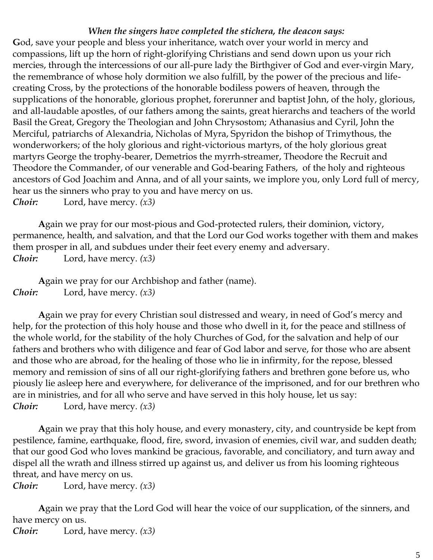#### *When the singers have completed the stichera, the deacon says:*

**G**od, save your people and bless your inheritance, watch over your world in mercy and compassions, lift up the horn of right-glorifying Christians and send down upon us your rich mercies, through the intercessions of our all-pure lady the Birthgiver of God and ever-virgin Mary, the remembrance of whose holy dormition we also fulfill, by the power of the precious and lifecreating Cross, by the protections of the honorable bodiless powers of heaven, through the supplications of the honorable, glorious prophet, forerunner and baptist John, of the holy, glorious, and all-laudable apostles, of our fathers among the saints, great hierarchs and teachers of the world Basil the Great, Gregory the Theologian and John Chrysostom; Athanasius and Cyril, John the Merciful, patriarchs of Alexandria, Nicholas of Myra, Spyridon the bishop of Trimythous, the wonderworkers; of the holy glorious and right-victorious martyrs, of the holy glorious great martyrs George the trophy-bearer, Demetrios the myrrh-streamer, Theodore the Recruit and Theodore the Commander, of our venerable and God-bearing Fathers, of the holy and righteous ancestors of God Joachim and Anna, and of all your saints, we implore you, only Lord full of mercy, hear us the sinners who pray to you and have mercy on us. *Choir:* Lord, have mercy. *(x3)*

**A**gain we pray for our most-pious and God-protected rulers, their dominion, victory, permanence, health, and salvation, and that the Lord our God works together with them and makes them prosper in all, and subdues under their feet every enemy and adversary. *Choir:* Lord, have mercy. *(x3)*

**A**gain we pray for our Archbishop and father (name). *Choir:* Lord, have mercy. *(x3)*

**A**gain we pray for every Christian soul distressed and weary, in need of God's mercy and help, for the protection of this holy house and those who dwell in it, for the peace and stillness of the whole world, for the stability of the holy Churches of God, for the salvation and help of our fathers and brothers who with diligence and fear of God labor and serve, for those who are absent and those who are abroad, for the healing of those who lie in infirmity, for the repose, blessed memory and remission of sins of all our right-glorifying fathers and brethren gone before us, who piously lie asleep here and everywhere, for deliverance of the imprisoned, and for our brethren who are in ministries, and for all who serve and have served in this holy house, let us say: *Choir:* Lord, have mercy. *(x3)*

**A**gain we pray that this holy house, and every monastery, city, and countryside be kept from pestilence, famine, earthquake, flood, fire, sword, invasion of enemies, civil war, and sudden death; that our good God who loves mankind be gracious, favorable, and conciliatory, and turn away and dispel all the wrath and illness stirred up against us, and deliver us from his looming righteous threat, and have mercy on us.

*Choir:* Lord, have mercy. *(x3)*

**A**gain we pray that the Lord God will hear the voice of our supplication, of the sinners, and have mercy on us.

*Choir:* Lord, have mercy. *(x3)*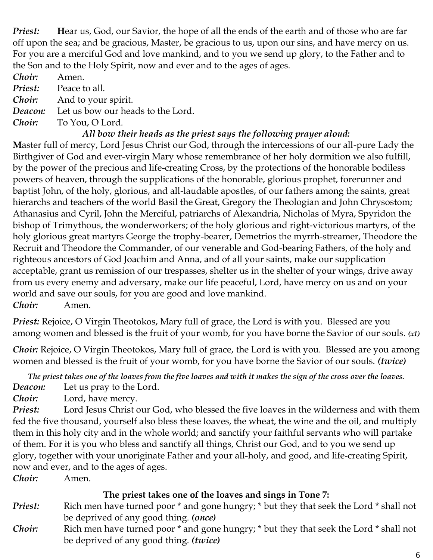*Priest:* Hear us, God, our Savior, the hope of all the ends of the earth and of those who are far off upon the sea; and be gracious, Master, be gracious to us, upon our sins, and have mercy on us. For you are a merciful God and love mankind, and to you we send up glory, to the Father and to the Son and to the Holy Spirit, now and ever and to the ages of ages.

*Choir:* Amen. **Priest:** Peace to all. *Choir:* And to your spirit. *Deacon:* Let us bow our heads to the Lord. *Choir:* To You, O Lord.

# *All bow their heads as the priest says the following prayer aloud:*

**M**aster full of mercy, Lord Jesus Christ our God, through the intercessions of our all-pure Lady the Birthgiver of God and ever-virgin Mary whose remembrance of her holy dormition we also fulfill, by the power of the precious and life-creating Cross, by the protections of the honorable bodiless powers of heaven, through the supplications of the honorable, glorious prophet, forerunner and baptist John, of the holy, glorious, and all-laudable apostles, of our fathers among the saints, great hierarchs and teachers of the world Basil the Great, Gregory the Theologian and John Chrysostom; Athanasius and Cyril, John the Merciful, patriarchs of Alexandria, Nicholas of Myra, Spyridon the bishop of Trimythous, the wonderworkers; of the holy glorious and right-victorious martyrs, of the holy glorious great martyrs George the trophy-bearer, Demetrios the myrrh-streamer, Theodore the Recruit and Theodore the Commander, of our venerable and God-bearing Fathers, of the holy and righteous ancestors of God Joachim and Anna, and of all your saints, make our supplication acceptable, grant us remission of our trespasses, shelter us in the shelter of your wings, drive away from us every enemy and adversary, make our life peaceful, Lord, have mercy on us and on your world and save our souls, for you are good and love mankind. *Choir:* Amen.

*Priest:* Rejoice, O Virgin Theotokos, Mary full of grace, the Lord is with you. Blessed are you among women and blessed is the fruit of your womb, for you have borne the Savior of our souls. *(x1)*

*Choir:* Rejoice, O Virgin Theotokos, Mary full of grace, the Lord is with you. Blessed are you among women and blessed is the fruit of your womb, for you have borne the Savior of our souls. *(twice)*

*The priest takes one of the loaves from the five loaves and with it makes the sign of the cross over the loaves. Deacon:* Let us pray to the Lord.

*Choir:* Lord, have mercy.

*Priest:* **L**ord Jesus Christ our God, who blessed the five loaves in the wilderness and with them fed the five thousand, yourself also bless these loaves, the wheat, the wine and the oil, and multiply them in this holy city and in the whole world; and sanctify your faithful servants who will partake of them. **F**or it is you who bless and sanctify all things, Christ our God, and to you we send up glory, together with your unoriginate Father and your all-holy, and good, and life-creating Spirit, now and ever, and to the ages of ages.

*Choir:* Amen.

### **The priest takes one of the loaves and sings in Tone 7:**

- *Priest:* Rich men have turned poor  $*$  and gone hungry;  $*$  but they that seek the Lord  $*$  shall not be deprived of any good thing. *(once)*
- *Choir:* Rich men have turned poor \* and gone hungry; \* but they that seek the Lord \* shall not be deprived of any good thing. *(twice)*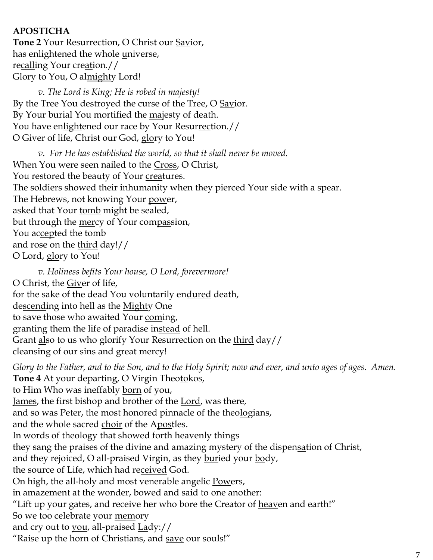# **APOSTICHA**

**Tone 2** Your Resurrection, O Christ our Savior, has enlightened the whole universe, recalling Your creation.// Glory to You, O almighty Lord!

*v. The Lord is King; He is robed in majesty!*  By the Tree You destroyed the curse of the Tree, O Savior. By Your burial You mortified the majesty of death. You have enlightened our race by Your Resurrection.// O Giver of life, Christ our God, glory to You!

*v. For He has established the world, so that it shall never be moved.* When You were seen nailed to the Cross, O Christ, You restored the beauty of Your creatures. The soldiers showed their inhumanity when they pierced Your side with a spear. The Hebrews, not knowing Your power, asked that Your tomb might be sealed, but through the <u>mer</u>cy of Your compassion, You accepted the tomb and rose on the third day!// O Lord, glory to You!

*v. Holiness befits Your house, O Lord, forevermore!*  O Christ, the Giver of life, for the sake of the dead You voluntarily endured death, descending into hell as the Mighty One to save those who awaited Your coming, granting them the life of paradise instead of hell. Grant also to us who glorify Your Resurrection on the third day// cleansing of our sins and great <u>mer</u>cy!

*Glory to the Father, and to the Son, and to the Holy Spirit; now and ever, and unto ages of ages. Amen.* **Tone 4** At your departing, O Virgin Theotokos, to Him Who was ineffably born of you, James, the first bishop and brother of the Lord, was there, and so was Peter, the most honored pinnacle of the theologians, and the whole sacred choir of the Apostles. In words of theology that showed forth heavenly things they sang the praises of the divine and amazing mystery of the dispensation of Christ, and they rejoiced, O all-praised Virgin, as they buried your body, the source of Life, which had received God. On high, the all-holy and most venerable angelic Powers, in amazement at the wonder, bowed and said to one another: "Lift up your gates, and receive her who bore the Creator of heaven and earth!" So we too celebrate your memory and cry out to you, all-praised Lady:// "Raise up the horn of Christians, and save our souls!"